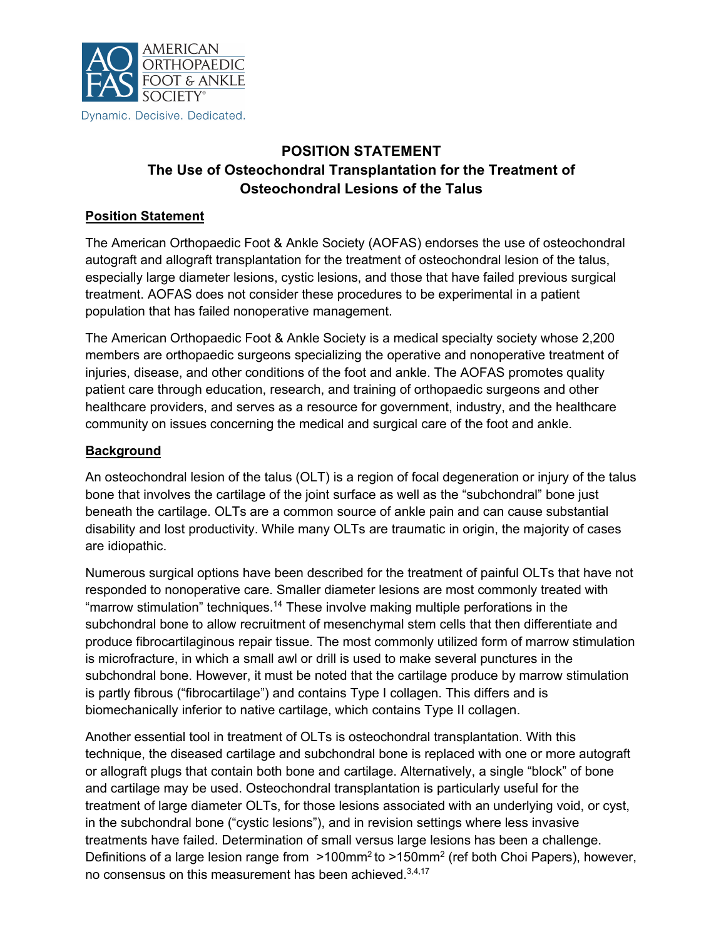

# **POSITION STATEMENT The Use of Osteochondral Transplantation for the Treatment of Osteochondral Lesions of the Talus**

## **Position Statement**

The American Orthopaedic Foot & Ankle Society (AOFAS) endorses the use of osteochondral autograft and allograft transplantation for the treatment of osteochondral lesion of the talus, especially large diameter lesions, cystic lesions, and those that have failed previous surgical treatment. AOFAS does not consider these procedures to be experimental in a patient population that has failed nonoperative management.

The American Orthopaedic Foot & Ankle Society is a medical specialty society whose 2,200 members are orthopaedic surgeons specializing the operative and nonoperative treatment of injuries, disease, and other conditions of the foot and ankle. The AOFAS promotes quality patient care through education, research, and training of orthopaedic surgeons and other healthcare providers, and serves as a resource for government, industry, and the healthcare community on issues concerning the medical and surgical care of the foot and ankle.

## **Background**

An osteochondral lesion of the talus (OLT) is a region of focal degeneration or injury of the talus bone that involves the cartilage of the joint surface as well as the "subchondral" bone just beneath the cartilage. OLTs are a common source of ankle pain and can cause substantial disability and lost productivity. While many OLTs are traumatic in origin, the majority of cases are idiopathic.

Numerous surgical options have been described for the treatment of painful OLTs that have not responded to nonoperative care. Smaller diameter lesions are most commonly treated with "marrow stimulation" techniques.<sup>14</sup> These involve making multiple perforations in the subchondral bone to allow recruitment of mesenchymal stem cells that then differentiate and produce fibrocartilaginous repair tissue. The most commonly utilized form of marrow stimulation is microfracture, in which a small awl or drill is used to make several punctures in the subchondral bone. However, it must be noted that the cartilage produce by marrow stimulation is partly fibrous ("fibrocartilage") and contains Type I collagen. This differs and is biomechanically inferior to native cartilage, which contains Type II collagen.

Another essential tool in treatment of OLTs is osteochondral transplantation. With this technique, the diseased cartilage and subchondral bone is replaced with one or more autograft or allograft plugs that contain both bone and cartilage. Alternatively, a single "block" of bone and cartilage may be used. Osteochondral transplantation is particularly useful for the treatment of large diameter OLTs, for those lesions associated with an underlying void, or cyst, in the subchondral bone ("cystic lesions"), and in revision settings where less invasive treatments have failed. Determination of small versus large lesions has been a challenge. Definitions of a large lesion range from >100mm<sup>2</sup> to >150mm<sup>2</sup> (ref both Choi Papers), however, no consensus on this measurement has been achieved.<sup>3,4,17</sup>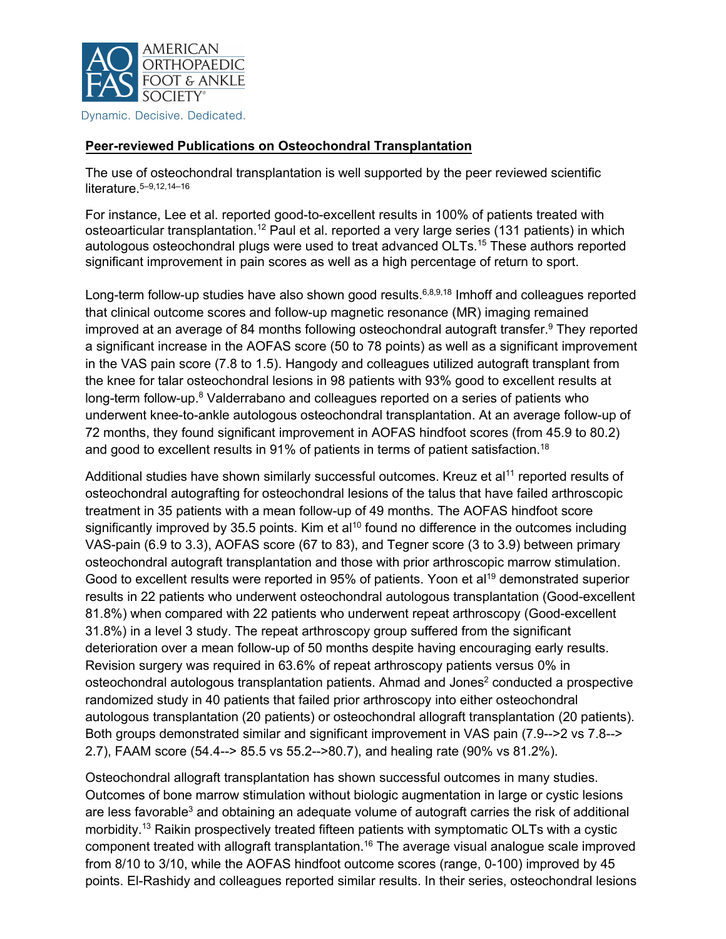

Dynamic. Decisive. Dedicated.

#### **Peer-reviewed Publications on Osteochondral Transplantation**

The use of osteochondral transplantation is well supported by the peer reviewed scientific literature.5–9,12,14–16

For instance, Lee et al. reported good-to-excellent results in 100% of patients treated with osteoarticular transplantation.<sup>12</sup> Paul et al. reported a very large series (131 patients) in which autologous osteochondral plugs were used to treat advanced OLTs.<sup>15</sup> These authors reported significant improvement in pain scores as well as a high percentage of return to sport.

Long-term follow-up studies have also shown good results.  $6,8,9,18$  Imhoff and colleagues reported that clinical outcome scores and follow-up magnetic resonance (MR) imaging remained improved at an average of 84 months following osteochondral autograft transfer.<sup>9</sup> They reported a significant increase in the AOFAS score (50 to 78 points) as well as a significant improvement in the VAS pain score (7.8 to 1.5). Hangody and colleagues utilized autograft transplant from the knee for talar osteochondral lesions in 98 patients with 93% good to excellent results at long-term follow-up.<sup>8</sup> Valderrabano and colleagues reported on a series of patients who underwent knee-to-ankle autologous osteochondral transplantation. At an average follow-up of 72 months, they found significant improvement in AOFAS hindfoot scores (from 45.9 to 80.2) and good to excellent results in 91% of patients in terms of patient satisfaction.<sup>18</sup>

Additional studies have shown similarly successful outcomes. Kreuz et al<sup>11</sup> reported results of osteochondral autografting for osteochondral lesions of the talus that have failed arthroscopic treatment in 35 patients with a mean follow-up of 49 months. The AOFAS hindfoot score significantly improved by 35.5 points. Kim et al<sup>10</sup> found no difference in the outcomes including VAS-pain (6.9 to 3.3), AOFAS score (67 to 83), and Tegner score (3 to 3.9) between primary osteochondral autograft transplantation and those with prior arthroscopic marrow stimulation. Good to excellent results were reported in 95% of patients. Yoon et al<sup>19</sup> demonstrated superior results in 22 patients who underwent osteochondral autologous transplantation (Good-excellent 81.8%) when compared with 22 patients who underwent repeat arthroscopy (Good-excellent 31.8%) in a level 3 study. The repeat arthroscopy group suffered from the significant deterioration over a mean follow-up of 50 months despite having encouraging early results. Revision surgery was required in 63.6% of repeat arthroscopy patients versus 0% in osteochondral autologous transplantation patients. Ahmad and Jones<sup>2</sup> conducted a prospective randomized study in 40 patients that failed prior arthroscopy into either osteochondral autologous transplantation (20 patients) or osteochondral allograft transplantation (20 patients). Both groups demonstrated similar and significant improvement in VAS pain (7.9-->2 vs 7.8--> 2.7), FAAM score (54.4--> 85.5 vs 55.2-->80.7), and healing rate (90% vs 81.2%).

Osteochondral allograft transplantation has shown successful outcomes in many studies. Outcomes of bone marrow stimulation without biologic augmentation in large or cystic lesions are less favorable<sup>3</sup> and obtaining an adequate volume of autograft carries the risk of additional morbidity.<sup>13</sup> Raikin prospectively treated fifteen patients with symptomatic OLTs with a cystic component treated with allograft transplantation.<sup>16</sup> The average visual analogue scale improved from 8/10 to 3/10, while the AOFAS hindfoot outcome scores (range, 0-100) improved by 45 points. El-Rashidy and colleagues reported similar results. In their series, osteochondral lesions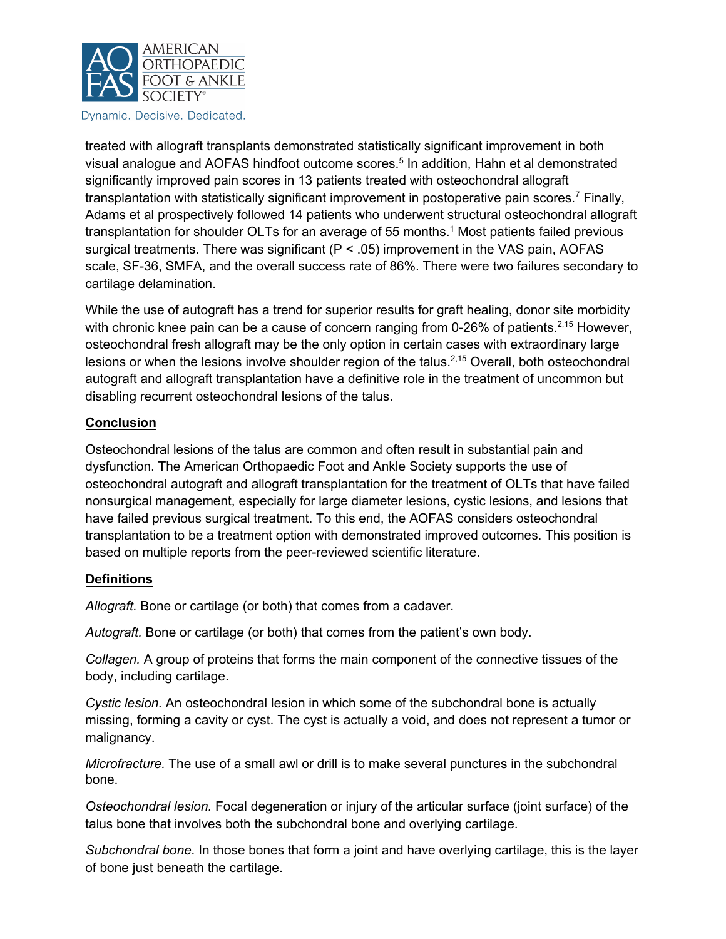

Dynamic. Decisive. Dedicated.

treated with allograft transplants demonstrated statistically significant improvement in both visual analogue and AOFAS hindfoot outcome scores.<sup>5</sup> In addition, Hahn et al demonstrated significantly improved pain scores in 13 patients treated with osteochondral allograft transplantation with statistically significant improvement in postoperative pain scores.<sup>7</sup> Finally, Adams et al prospectively followed 14 patients who underwent structural osteochondral allograft transplantation for shoulder OLTs for an average of 55 months.<sup>1</sup> Most patients failed previous surgical treatments. There was significant  $(P < .05)$  improvement in the VAS pain, AOFAS scale, SF-36, SMFA, and the overall success rate of 86%. There were two failures secondary to cartilage delamination.

While the use of autograft has a trend for superior results for graft healing, donor site morbidity with chronic knee pain can be a cause of concern ranging from 0-26% of patients.<sup>2,15</sup> However, osteochondral fresh allograft may be the only option in certain cases with extraordinary large lesions or when the lesions involve shoulder region of the talus.<sup>2,15</sup> Overall, both osteochondral autograft and allograft transplantation have a definitive role in the treatment of uncommon but disabling recurrent osteochondral lesions of the talus.

#### **Conclusion**

Osteochondral lesions of the talus are common and often result in substantial pain and dysfunction. The American Orthopaedic Foot and Ankle Society supports the use of osteochondral autograft and allograft transplantation for the treatment of OLTs that have failed nonsurgical management, especially for large diameter lesions, cystic lesions, and lesions that have failed previous surgical treatment. To this end, the AOFAS considers osteochondral transplantation to be a treatment option with demonstrated improved outcomes. This position is based on multiple reports from the peer-reviewed scientific literature.

#### **Definitions**

*Allograft.* Bone or cartilage (or both) that comes from a cadaver.

*Autograft.* Bone or cartilage (or both) that comes from the patient's own body.

*Collagen.* A group of proteins that forms the main component of the connective tissues of the body, including cartilage.

*Cystic lesion.* An osteochondral lesion in which some of the subchondral bone is actually missing, forming a cavity or cyst. The cyst is actually a void, and does not represent a tumor or malignancy.

*Microfracture.* The use of a small awl or drill is to make several punctures in the subchondral bone.

*Osteochondral lesion.* Focal degeneration or injury of the articular surface (joint surface) of the talus bone that involves both the subchondral bone and overlying cartilage.

*Subchondral bone.* In those bones that form a joint and have overlying cartilage, this is the layer of bone just beneath the cartilage.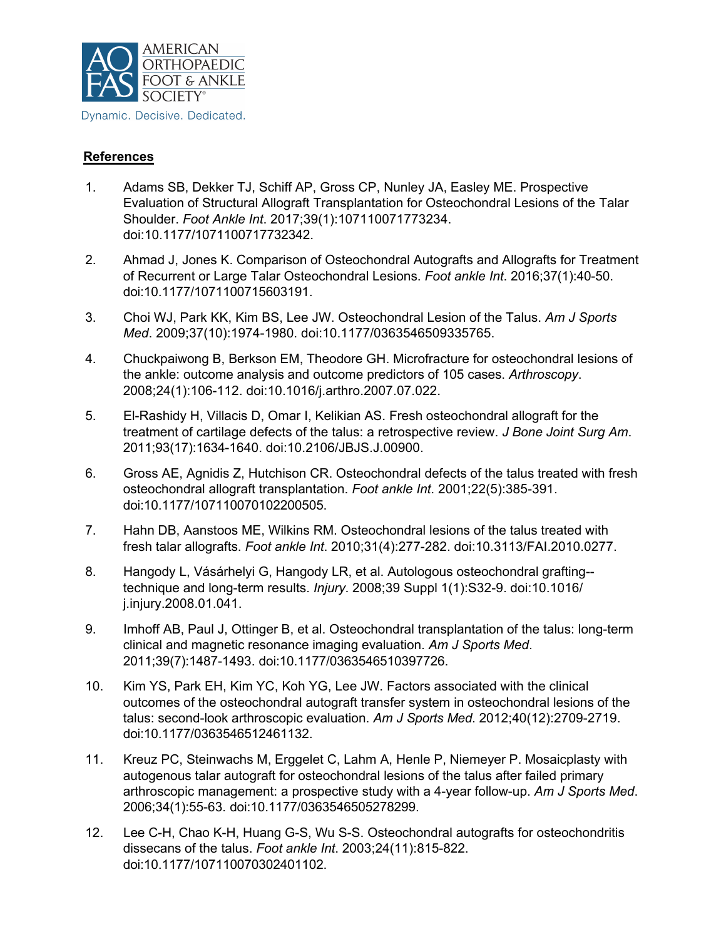

### **References**

- 1. Adams SB, Dekker TJ, Schiff AP, Gross CP, Nunley JA, Easley ME. Prospective Evaluation of Structural Allograft Transplantation for Osteochondral Lesions of the Talar Shoulder. *Foot Ankle Int*. 2017;39(1):107110071773234. doi:10.1177/1071100717732342.
- 2. Ahmad J, Jones K. Comparison of Osteochondral Autografts and Allografts for Treatment of Recurrent or Large Talar Osteochondral Lesions. *Foot ankle Int*. 2016;37(1):40-50. doi:10.1177/1071100715603191.
- 3. Choi WJ, Park KK, Kim BS, Lee JW. Osteochondral Lesion of the Talus. *Am J Sports Med*. 2009;37(10):1974-1980. doi:10.1177/0363546509335765.
- 4. Chuckpaiwong B, Berkson EM, Theodore GH. Microfracture for osteochondral lesions of the ankle: outcome analysis and outcome predictors of 105 cases. *Arthroscopy*. 2008;24(1):106-112. doi:10.1016/j.arthro.2007.07.022.
- 5. El-Rashidy H, Villacis D, Omar I, Kelikian AS. Fresh osteochondral allograft for the treatment of cartilage defects of the talus: a retrospective review. *J Bone Joint Surg Am*. 2011;93(17):1634-1640. doi:10.2106/JBJS.J.00900.
- 6. Gross AE, Agnidis Z, Hutchison CR. Osteochondral defects of the talus treated with fresh osteochondral allograft transplantation. *Foot ankle Int*. 2001;22(5):385-391. doi:10.1177/107110070102200505.
- 7. Hahn DB, Aanstoos ME, Wilkins RM. Osteochondral lesions of the talus treated with fresh talar allografts. *Foot ankle Int*. 2010;31(4):277-282. doi:10.3113/FAI.2010.0277.
- 8. Hangody L, Vásárhelyi G, Hangody LR, et al. Autologous osteochondral grafting- technique and long-term results. *Injury*. 2008;39 Suppl 1(1):S32-9. doi:10.1016/ j.injury.2008.01.041.
- 9. Imhoff AB, Paul J, Ottinger B, et al. Osteochondral transplantation of the talus: long-term clinical and magnetic resonance imaging evaluation. *Am J Sports Med*. 2011;39(7):1487-1493. doi:10.1177/0363546510397726.
- 10. Kim YS, Park EH, Kim YC, Koh YG, Lee JW. Factors associated with the clinical outcomes of the osteochondral autograft transfer system in osteochondral lesions of the talus: second-look arthroscopic evaluation. *Am J Sports Med*. 2012;40(12):2709-2719. doi:10.1177/0363546512461132.
- 11. Kreuz PC, Steinwachs M, Erggelet C, Lahm A, Henle P, Niemeyer P. Mosaicplasty with autogenous talar autograft for osteochondral lesions of the talus after failed primary arthroscopic management: a prospective study with a 4-year follow-up. *Am J Sports Med*. 2006;34(1):55-63. doi:10.1177/0363546505278299.
- 12. Lee C-H, Chao K-H, Huang G-S, Wu S-S. Osteochondral autografts for osteochondritis dissecans of the talus. *Foot ankle Int*. 2003;24(11):815-822. doi:10.1177/107110070302401102.